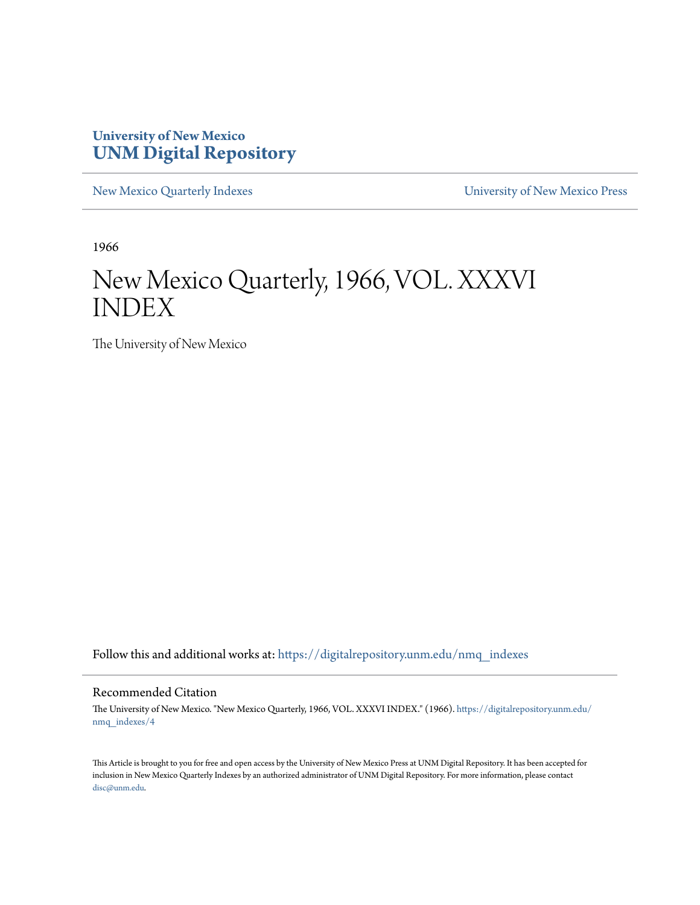### **University of New Mexico [UNM Digital Repository](https://digitalrepository.unm.edu?utm_source=digitalrepository.unm.edu%2Fnmq_indexes%2F4&utm_medium=PDF&utm_campaign=PDFCoverPages)**

[New Mexico Quarterly Indexes](https://digitalrepository.unm.edu/nmq_indexes?utm_source=digitalrepository.unm.edu%2Fnmq_indexes%2F4&utm_medium=PDF&utm_campaign=PDFCoverPages) [University of New Mexico Press](https://digitalrepository.unm.edu/press?utm_source=digitalrepository.unm.edu%2Fnmq_indexes%2F4&utm_medium=PDF&utm_campaign=PDFCoverPages)

1966

## New Mexico Quarterly, 1966, VOL. XXXVI INDEX

The University of New Mexico

Follow this and additional works at: [https://digitalrepository.unm.edu/nmq\\_indexes](https://digitalrepository.unm.edu/nmq_indexes?utm_source=digitalrepository.unm.edu%2Fnmq_indexes%2F4&utm_medium=PDF&utm_campaign=PDFCoverPages)

### Recommended Citation

The University of New Mexico. "New Mexico Quarterly, 1966, VOL. XXXVI INDEX." (1966). [https://digitalrepository.unm.edu/](https://digitalrepository.unm.edu/nmq_indexes/4?utm_source=digitalrepository.unm.edu%2Fnmq_indexes%2F4&utm_medium=PDF&utm_campaign=PDFCoverPages) [nmq\\_indexes/4](https://digitalrepository.unm.edu/nmq_indexes/4?utm_source=digitalrepository.unm.edu%2Fnmq_indexes%2F4&utm_medium=PDF&utm_campaign=PDFCoverPages)

This Article is brought to you for free and open access by the University of New Mexico Press at UNM Digital Repository. It has been accepted for inclusion in New Mexico Quarterly Indexes by an authorized administrator of UNM Digital Repository. For more information, please contact [disc@unm.edu](mailto:disc@unm.edu).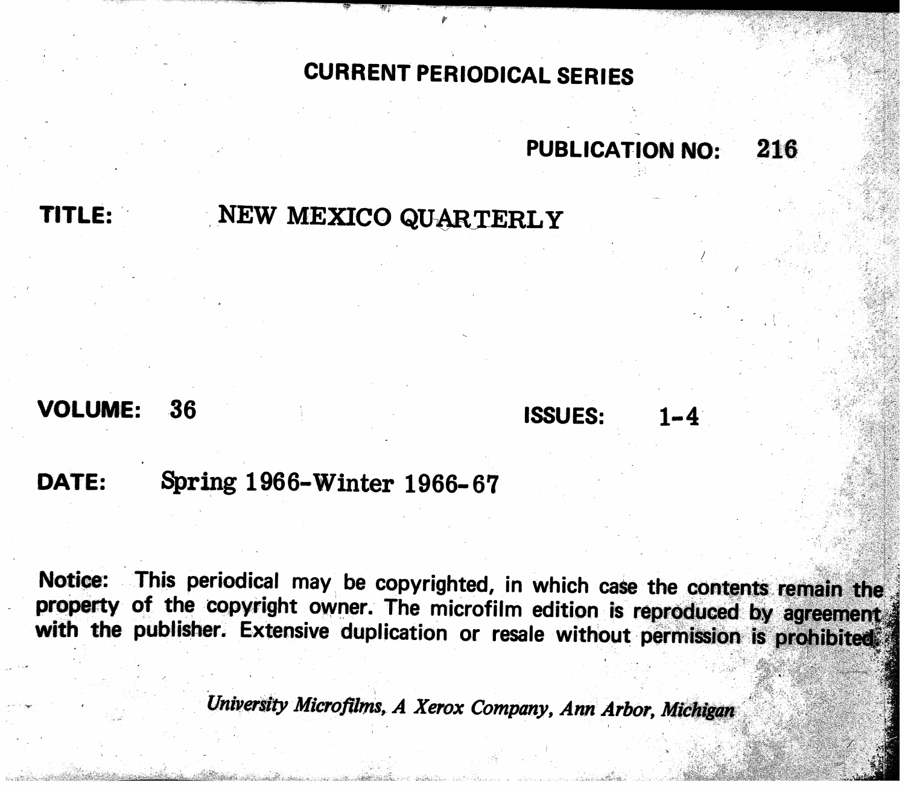# CURRENT PERIODICAL SERIES

TITLE:

# NEW MEXICO QUARTERLY

### VOLUME: 36

## Spring 1966-Winter 1966-67 DATE:

This periodical may be copyrighted, in which case the contents remain the Notice: property of the copyright owner. The microfilm edition is reproduced by agreement with the publisher. Extensive duplication or resale without permission is prohibited.

University Microfilms, A Xerox Company, Ann Arbor, Michigan

## PUBLICATION NO:

 $1 - 4$ 

216

**ISSUES:**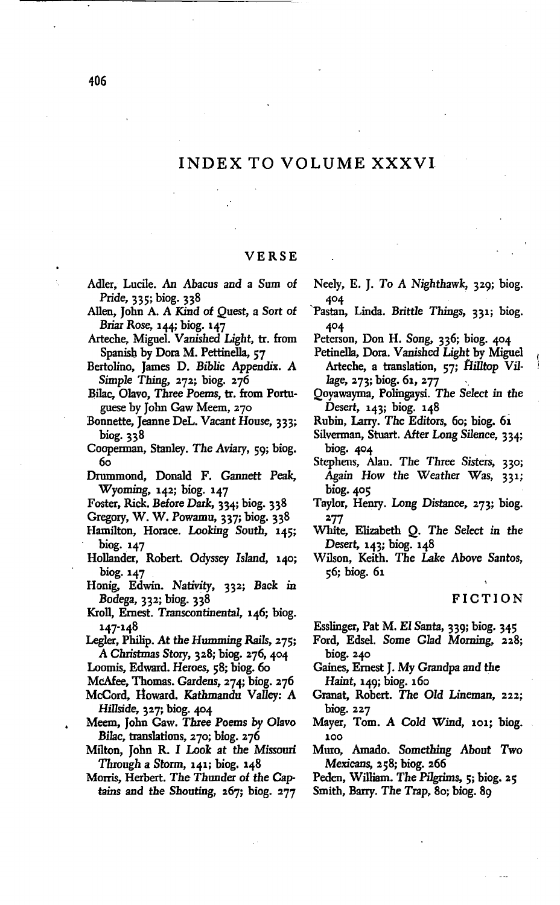### INDEX TO VOLUME XXXVI.

### VERSE

- Adler, Lucile. An Abacus and a Sum of Pride, 335; biog. 338
- Allen, John A. A Kind of Quest, a Sort of Briar Rose, 144; biog. 147
- Arteche, Miguel. Vanished Light, tr. from Spanish by Dora M. Pettinella, 57
- Bertolino, James D. BibJic Appendix. A Simple Thing, 272; biog. 276

Bilac, Olavo, Three Poems, tr. from Portuguese by John Gaw Meem, 270

- Bonnette, Jeanne Del. Vacant House, 333; biog. 338
- Cooperman, Stanley. The Aviary, 59; biog. 60
- Drummond, Donald F. Gannett *Peak,* Wyoming, 142; biog. 147
- Foster, Rick. Before Dark, 334; biog. 338
- Gregory, W. W. Powamu, 337; biog. 338
- Hamilton, Horace. Looking South, 145; biog.147
- Hollander, Robert. Odyssey Island, 140; biog.147
- Honig, Edwin. Nativity, 332; Back in Bodega, 332; biog. 338
- Kroll, Ernest. Transcontinental, 146; biog. 147-148
- Legler, Philip. At *the* Humming Rails, 275; A Christmas Story, 328; biog. 276, 404
- Loomis, Edward. Heroes, 58; biog. 60
- McAfee, Thomas. Gardens, 274; biog. 276
- McCord, Howard. Kathmandu Valley: A Hillside, 327; biog. 404
- Meem, John Gaw. Three Poems by Olavo *Bilae,* translations, 270; biog. 276
- Milton, John R. I Look at *the* Missouri Through a Storm, 141; biog. 148
- Morris, Herbert. The Thunder of *the* Captains and the Shouting, 267; biog. 277
- Neely, E. J. To A Nighthawk, 329; biog. 404
- 'Pastan, Linda. Brittle Things, 331; biog. 4°4
- Peterson, Don H. Song, 336; biog. 404
- Petinella, Dora. Vanished *Light* by Miguel Arteche, a translation, 57; fIilltop Village, 273; biog. 61, 277
- Qoyawayma, Polingaysi. The *Select* in *the* Desert, 143; biog. 148
- Rubin, Larry. *The* Editors, 60; biog. 6i
- Silverman, Stuart. After Long Silence, 334; biog. 404
- Stephens, Alan. The Three *Sisters, 330;* Again How *the* Weather Was, 331; biog. 405
- Taylor, Henry. Long Distance, 273; biog. '2.77
- White, Elizabeth Q. The Select in the Desert, 143; biog. 148
- Wilson, Keith. The Lake Above Santos, 56; biog. 61

### FICTION

Esslinger, Pat M. El Santa, 339; biog. 345

- Ford, Edsel. Some Glad Morning, 228;  $\frac{1}{2}$ . 240
- Gaines, Ernest J. My Grandpa and the Haint, 149; biog. 160
- Granat, Robert. The *Old* Lineman, 222; biog. 227
- Mayer, Tom. A Cold Wind, 101; biog. 100
- Muro, Amado. Something About Two Mexicans, 258; biog. 266

Peden, William. The Pilgrims, 5; biog. 25

Smith, Barry. *The* Trap, 80; biog. 89